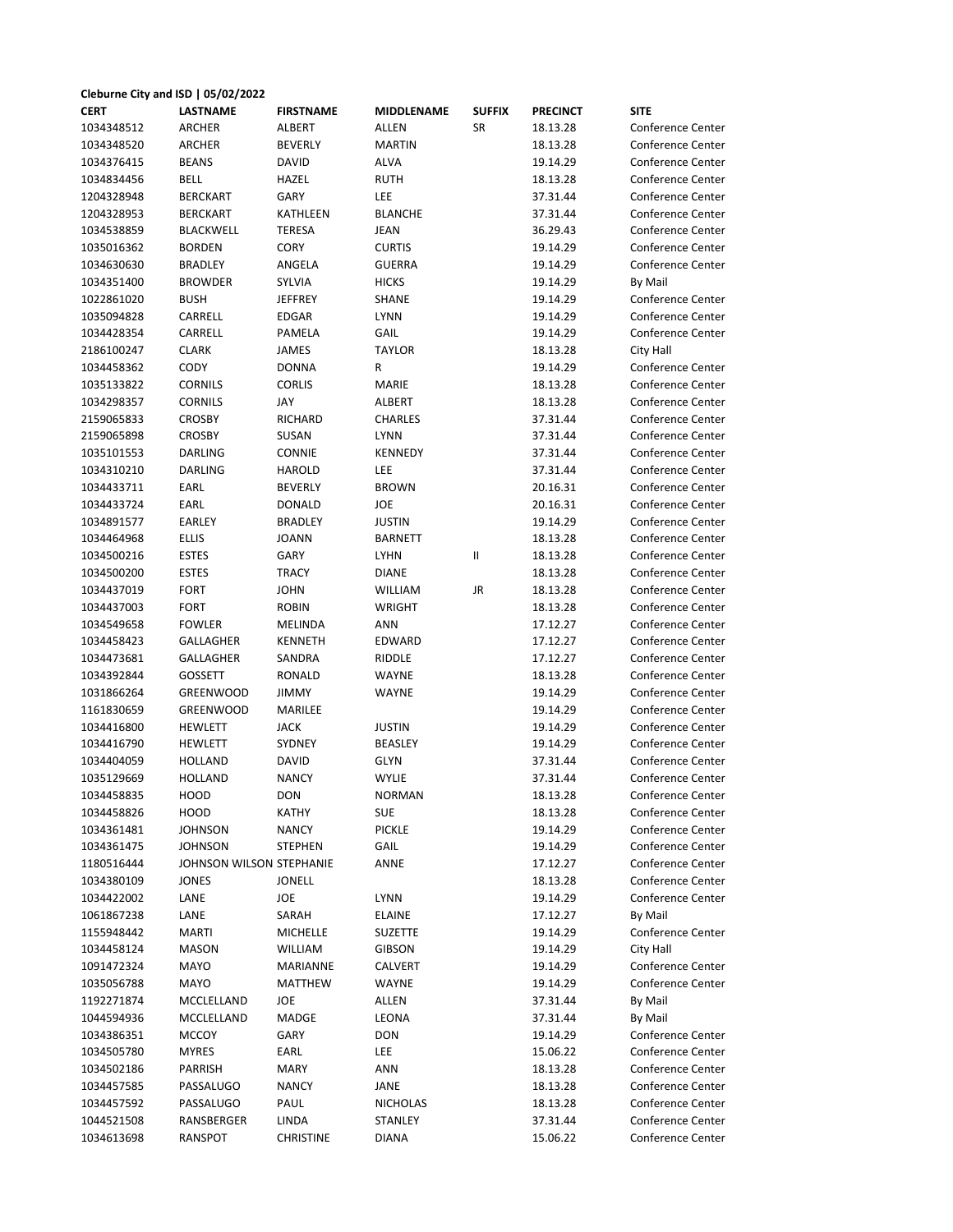| Cleburne City and ISD   05/02/2022 |                          |                  |                 |               |                 |                          |
|------------------------------------|--------------------------|------------------|-----------------|---------------|-----------------|--------------------------|
| <b>CERT</b>                        | <b>LASTNAME</b>          | <b>FIRSTNAME</b> | MIDDLENAME      | <b>SUFFIX</b> | <b>PRECINCT</b> | <b>SITE</b>              |
| 1034348512                         | <b>ARCHER</b>            | ALBERT           | ALLEN           | SR            | 18.13.28        | <b>Conference Center</b> |
| 1034348520                         | <b>ARCHER</b>            | <b>BEVERLY</b>   | <b>MARTIN</b>   |               | 18.13.28        | <b>Conference Center</b> |
| 1034376415                         | <b>BEANS</b>             | DAVID            | ALVA            |               | 19.14.29        | <b>Conference Center</b> |
| 1034834456                         | BELL                     | HAZEL            | <b>RUTH</b>     |               | 18.13.28        | <b>Conference Center</b> |
| 1204328948                         | <b>BERCKART</b>          | GARY             | LEE             |               | 37.31.44        | <b>Conference Center</b> |
| 1204328953                         | <b>BERCKART</b>          | KATHLEEN         | <b>BLANCHE</b>  |               | 37.31.44        | <b>Conference Center</b> |
| 1034538859                         | <b>BLACKWELL</b>         | <b>TERESA</b>    | JEAN            |               | 36.29.43        | <b>Conference Center</b> |
| 1035016362                         | <b>BORDEN</b>            | <b>CORY</b>      | <b>CURTIS</b>   |               | 19.14.29        | <b>Conference Center</b> |
| 1034630630                         | <b>BRADLEY</b>           | ANGELA           | <b>GUERRA</b>   |               | 19.14.29        | <b>Conference Center</b> |
| 1034351400                         | <b>BROWDER</b>           | SYLVIA           | <b>HICKS</b>    |               | 19.14.29        | By Mail                  |
| 1022861020                         | <b>BUSH</b>              | <b>JEFFREY</b>   | <b>SHANE</b>    |               | 19.14.29        | <b>Conference Center</b> |
| 1035094828                         | CARRELL                  | EDGAR            | <b>LYNN</b>     |               | 19.14.29        | <b>Conference Center</b> |
| 1034428354                         | CARRELL                  | PAMELA           | GAIL            |               | 19.14.29        | <b>Conference Center</b> |
| 2186100247                         | <b>CLARK</b>             | <b>JAMES</b>     | <b>TAYLOR</b>   |               | 18.13.28        | City Hall                |
| 1034458362                         | CODY                     | <b>DONNA</b>     | R               |               | 19.14.29        | <b>Conference Center</b> |
| 1035133822                         | <b>CORNILS</b>           | <b>CORLIS</b>    | <b>MARIE</b>    |               | 18.13.28        | <b>Conference Center</b> |
| 1034298357                         | <b>CORNILS</b>           | JAY              | ALBERT          |               | 18.13.28        | <b>Conference Center</b> |
| 2159065833                         | <b>CROSBY</b>            | RICHARD          | CHARLES         |               | 37.31.44        | <b>Conference Center</b> |
| 2159065898                         | <b>CROSBY</b>            | <b>SUSAN</b>     | <b>LYNN</b>     |               | 37.31.44        | <b>Conference Center</b> |
| 1035101553                         | DARLING                  | CONNIE           | KENNEDY         |               | 37.31.44        | <b>Conference Center</b> |
| 1034310210                         | <b>DARLING</b>           | HAROLD           | LEE             |               | 37.31.44        | <b>Conference Center</b> |
| 1034433711                         | EARL                     | <b>BEVERLY</b>   | <b>BROWN</b>    |               | 20.16.31        | <b>Conference Center</b> |
| 1034433724                         | EARL                     | DONALD           | JOE             |               | 20.16.31        | Conference Center        |
| 1034891577                         | <b>EARLEY</b>            | <b>BRADLEY</b>   | <b>JUSTIN</b>   |               | 19.14.29        | <b>Conference Center</b> |
| 1034464968                         | <b>ELLIS</b>             | <b>JOANN</b>     | <b>BARNETT</b>  |               | 18.13.28        | <b>Conference Center</b> |
| 1034500216                         | <b>ESTES</b>             | GARY             | <b>LYHN</b>     | Ш             | 18.13.28        | <b>Conference Center</b> |
| 1034500200                         | <b>ESTES</b>             | <b>TRACY</b>     | <b>DIANE</b>    |               | 18.13.28        | <b>Conference Center</b> |
| 1034437019                         | <b>FORT</b>              | <b>JOHN</b>      | <b>WILLIAM</b>  | JR            | 18.13.28        | Conference Center        |
| 1034437003                         | <b>FORT</b>              | <b>ROBIN</b>     | WRIGHT          |               | 18.13.28        | <b>Conference Center</b> |
| 1034549658                         | <b>FOWLER</b>            | MELINDA          | ANN             |               | 17.12.27        | <b>Conference Center</b> |
| 1034458423                         | GALLAGHER                | KENNETH          | EDWARD          |               | 17.12.27        | <b>Conference Center</b> |
| 1034473681                         | GALLAGHER                | SANDRA           | RIDDLE          |               | 17.12.27        | <b>Conference Center</b> |
| 1034392844                         | <b>GOSSETT</b>           | RONALD           | WAYNE           |               | 18.13.28        | <b>Conference Center</b> |
| 1031866264                         | <b>GREENWOOD</b>         | <b>JIMMY</b>     | WAYNE           |               | 19.14.29        | <b>Conference Center</b> |
| 1161830659                         | GREENWOOD                | MARILEE          |                 |               | 19.14.29        | <b>Conference Center</b> |
| 1034416800                         | <b>HEWLETT</b>           | <b>JACK</b>      | <b>JUSTIN</b>   |               | 19.14.29        | <b>Conference Center</b> |
| 1034416790                         | HEWLETT                  | SYDNEY           | <b>BEASLEY</b>  |               | 19.14.29        | Conference Center        |
| 1034404059                         | <b>HOLLAND</b>           | <b>DAVID</b>     | <b>GLYN</b>     |               | 37.31.44        | <b>Conference Center</b> |
| 1035129669                         | HOLLAND                  | <b>NANCY</b>     | <b>WYLIE</b>    |               | 37.31.44        | <b>Conference Center</b> |
| 1034458835                         | HOOD                     | <b>DON</b>       | <b>NORMAN</b>   |               | 18.13.28        | Conference Center        |
| 1034458826                         | HOOD                     | KATHY            | <b>SUE</b>      |               | 18.13.28        | <b>Conference Center</b> |
| 1034361481                         | <b>JOHNSON</b>           | <b>NANCY</b>     | <b>PICKLE</b>   |               | 19.14.29        | <b>Conference Center</b> |
| 1034361475                         | <b>JOHNSON</b>           | <b>STEPHEN</b>   | GAIL            |               | 19.14.29        | <b>Conference Center</b> |
| 1180516444                         | JOHNSON WILSON STEPHANIE |                  | ANNE            |               | 17.12.27        | <b>Conference Center</b> |
| 1034380109                         | JONES                    | <b>JONELL</b>    |                 |               | 18.13.28        | <b>Conference Center</b> |
| 1034422002                         | LANE                     | JOE              | <b>LYNN</b>     |               | 19.14.29        | <b>Conference Center</b> |
| 1061867238                         | LANE                     | SARAH            | <b>ELAINE</b>   |               | 17.12.27        | By Mail                  |
| 1155948442                         | <b>MARTI</b>             | <b>MICHELLE</b>  | <b>SUZETTE</b>  |               | 19.14.29        | <b>Conference Center</b> |
| 1034458124                         | MASON                    | <b>WILLIAM</b>   | <b>GIBSON</b>   |               | 19.14.29        | City Hall                |
| 1091472324                         | MAYO                     | MARIANNE         | CALVERT         |               | 19.14.29        | Conference Center        |
| 1035056788                         | MAYO                     | MATTHEW          | WAYNE           |               | 19.14.29        | Conference Center        |
| 1192271874                         | MCCLELLAND               | JOE              | ALLEN           |               | 37.31.44        | By Mail                  |
| 1044594936                         | MCCLELLAND               | MADGE            | LEONA           |               | 37.31.44        | By Mail                  |
| 1034386351                         | <b>MCCOY</b>             | GARY             | <b>DON</b>      |               | 19.14.29        | <b>Conference Center</b> |
| 1034505780                         | <b>MYRES</b>             | EARL             | LEE             |               | 15.06.22        | <b>Conference Center</b> |
| 1034502186                         | PARRISH                  | <b>MARY</b>      | <b>ANN</b>      |               | 18.13.28        | <b>Conference Center</b> |
| 1034457585                         |                          | <b>NANCY</b>     | JANE            |               |                 | <b>Conference Center</b> |
|                                    | PASSALUGO                |                  |                 |               | 18.13.28        |                          |
| 1034457592                         | PASSALUGO                | PAUL             | <b>NICHOLAS</b> |               | 18.13.28        | <b>Conference Center</b> |
| 1044521508                         | RANSBERGER               | LINDA            | STANLEY         |               | 37.31.44        | <b>Conference Center</b> |
| 1034613698                         | RANSPOT                  | <b>CHRISTINE</b> | DIANA           |               | 15.06.22        | <b>Conference Center</b> |